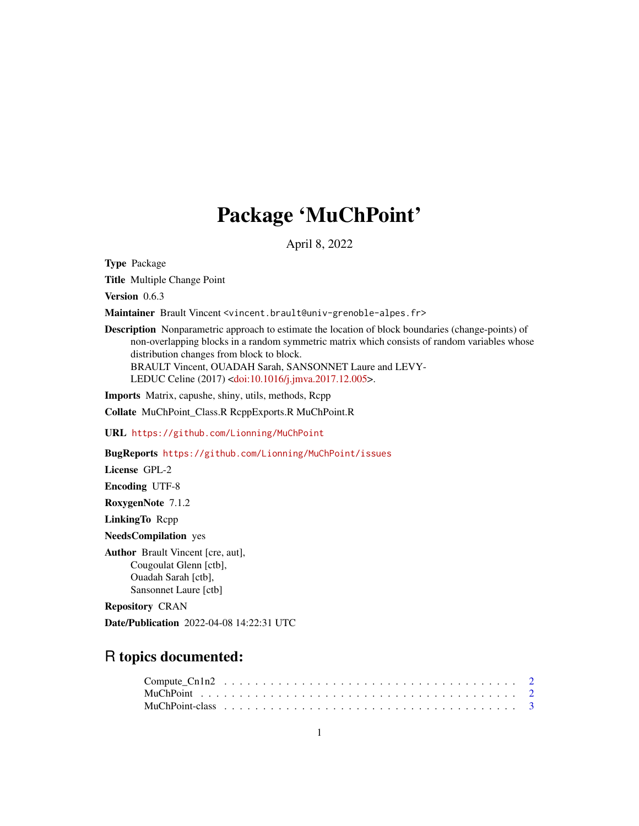## Package 'MuChPoint'

April 8, 2022

<span id="page-0-0"></span>Type Package

Title Multiple Change Point

Version 0.6.3

Maintainer Brault Vincent <vincent.brault@univ-grenoble-alpes.fr>

Description Nonparametric approach to estimate the location of block boundaries (change-points) of non-overlapping blocks in a random symmetric matrix which consists of random variables whose distribution changes from block to block. BRAULT Vincent, OUADAH Sarah, SANSONNET Laure and LEVY-

LEDUC Celine (2017) [<doi:10.1016/j.jmva.2017.12.005>](https://doi.org/10.1016/j.jmva.2017.12.005).

Imports Matrix, capushe, shiny, utils, methods, Rcpp

Collate MuChPoint\_Class.R RcppExports.R MuChPoint.R

URL <https://github.com/Lionning/MuChPoint>

BugReports <https://github.com/Lionning/MuChPoint/issues>

License GPL-2

Encoding UTF-8

RoxygenNote 7.1.2

LinkingTo Rcpp

NeedsCompilation yes

Author Brault Vincent [cre, aut], Cougoulat Glenn [ctb], Ouadah Sarah [ctb], Sansonnet Laure [ctb]

Repository CRAN

Date/Publication 2022-04-08 14:22:31 UTC

### R topics documented: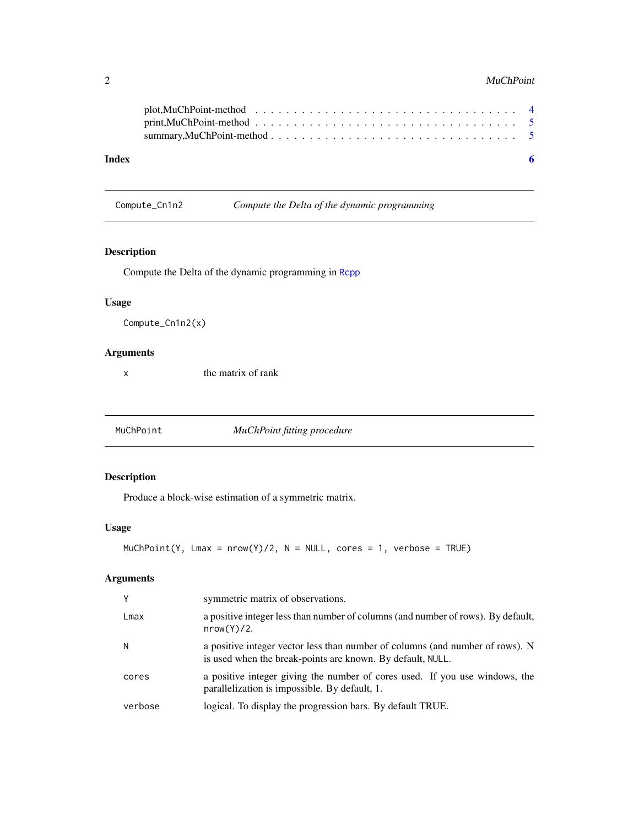#### <span id="page-1-0"></span>2 and 2 and 2 and 2 and 2 and 2 and 2 and 2 and 2 and 2 and 2 and 2 and 2 and 2 and 2 and 2 and 2 and 2 and 2 and 2 and 2 and 2 and 2 and 2 and 2 and 2 and 2 and 2 and 2 and 2 and 2 and 2 and 2 and 2 and 2 and 2 and 2 and

| Index |  |
|-------|--|

Compute\_Cn1n2 *Compute the Delta of the dynamic programming*

#### Description

Compute the Delta of the dynamic programming in [Rcpp](#page-0-0)

#### Usage

Compute\_Cn1n2(x)

#### Arguments

x the matrix of rank

<span id="page-1-1"></span>MuChPoint *MuChPoint fitting procedure*

#### Description

Produce a block-wise estimation of a symmetric matrix.

#### Usage

```
MuchPoint(Y, Lmax = nrow(Y)/2, N = NULL, cores = 1, verbose = TRUE)
```
#### Arguments

| Y       | symmetric matrix of observations.                                                                                                           |
|---------|---------------------------------------------------------------------------------------------------------------------------------------------|
| Lmax    | a positive integer less than number of columns (and number of rows). By default,<br>nrow(Y)/2.                                              |
| N       | a positive integer vector less than number of columns (and number of rows). N<br>is used when the break-points are known. By default, NULL. |
| cores   | a positive integer giving the number of cores used. If you use windows, the<br>parallelization is impossible. By default, 1.                |
| verbose | logical. To display the progression bars. By default TRUE.                                                                                  |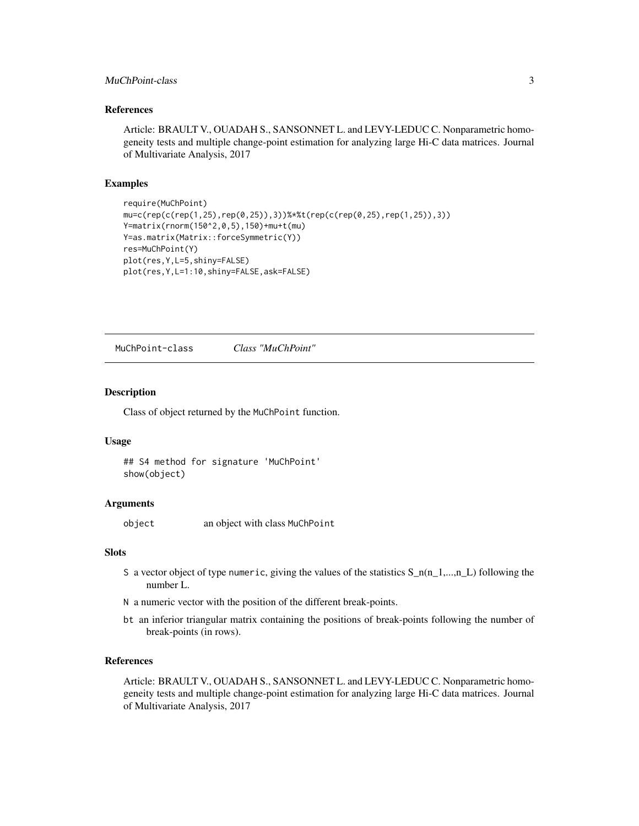#### <span id="page-2-0"></span>MuChPoint-class 3

#### References

Article: BRAULT V., OUADAH S., SANSONNET L. and LEVY-LEDUC C. Nonparametric homogeneity tests and multiple change-point estimation for analyzing large Hi-C data matrices. Journal of Multivariate Analysis, 2017

#### Examples

```
require(MuChPoint)
mu=c(rep(c(rep(1,25),rep(0,25)),3))%*%t(rep(c(rep(0,25),rep(1,25)),3))
Y=matrix(rnorm(150^2,0,5),150)+mu+t(mu)
Y=as.matrix(Matrix::forceSymmetric(Y))
res=MuChPoint(Y)
plot(res,Y,L=5,shiny=FALSE)
plot(res,Y,L=1:10,shiny=FALSE,ask=FALSE)
```
<span id="page-2-1"></span>MuChPoint-class *Class "MuChPoint"*

#### Description

Class of object returned by the MuChPoint function.

#### Usage

## S4 method for signature 'MuChPoint' show(object)

#### Arguments

object an object with class MuChPoint

#### Slots

- S a vector object of type numeric, giving the values of the statistics  $S_n(n_1, ..., n_L)$  following the number L.
- N a numeric vector with the position of the different break-points.
- bt an inferior triangular matrix containing the positions of break-points following the number of break-points (in rows).

#### References

Article: BRAULT V., OUADAH S., SANSONNET L. and LEVY-LEDUC C. Nonparametric homogeneity tests and multiple change-point estimation for analyzing large Hi-C data matrices. Journal of Multivariate Analysis, 2017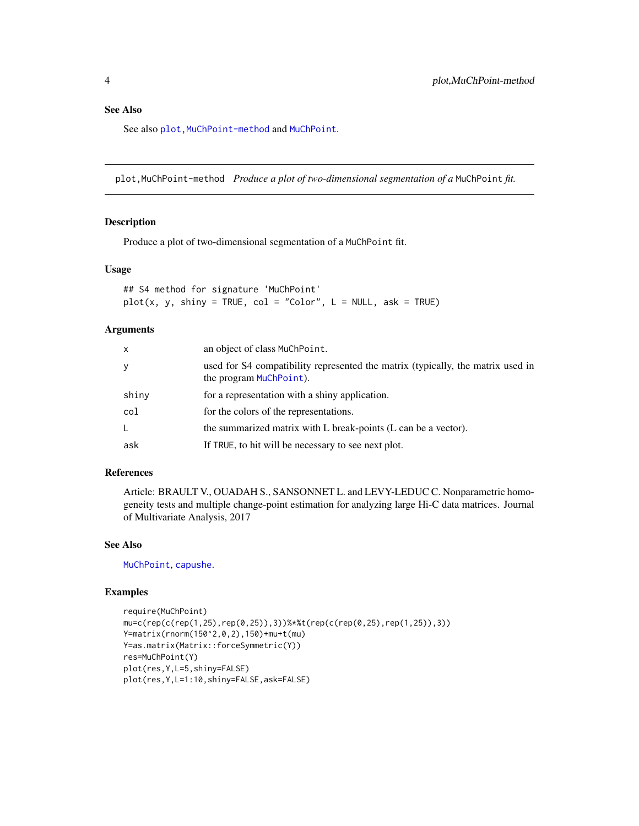#### <span id="page-3-0"></span>See Also

See also plot, [MuChPoint](#page-1-1)-method and MuChPoint.

plot,MuChPoint-method *Produce a plot of two-dimensional segmentation of a* MuChPoint *fit.*

#### Description

Produce a plot of two-dimensional segmentation of a MuChPoint fit.

#### Usage

## S4 method for signature 'MuChPoint'  $plot(x, y, ship = TRUE, col = "Color", L = NULL, ask = TRUE)$ 

#### Arguments

| x     | an object of class MuChPoint.                                                                              |
|-------|------------------------------------------------------------------------------------------------------------|
| У     | used for S4 compatibility represented the matrix (typically, the matrix used in<br>the program MuChPoint). |
| shiny | for a representation with a shiny application.                                                             |
| col   | for the colors of the representations.                                                                     |
| L     | the summarized matrix with L break-points (L can be a vector).                                             |
| ask   | If TRUE, to hit will be necessary to see next plot.                                                        |

#### References

Article: BRAULT V., OUADAH S., SANSONNET L. and LEVY-LEDUC C. Nonparametric homogeneity tests and multiple change-point estimation for analyzing large Hi-C data matrices. Journal of Multivariate Analysis, 2017

#### See Also

[MuChPoint](#page-2-1), [capushe](#page-0-0).

#### Examples

```
require(MuChPoint)
mu=c(rep(c(rep(1,25),rep(0,25)),3))%*%t(rep(c(rep(0,25),rep(1,25)),3))
Y=matrix(rnorm(150^2,0,2),150)+mu+t(mu)
Y=as.matrix(Matrix::forceSymmetric(Y))
res=MuChPoint(Y)
plot(res,Y,L=5,shiny=FALSE)
plot(res,Y,L=1:10,shiny=FALSE,ask=FALSE)
```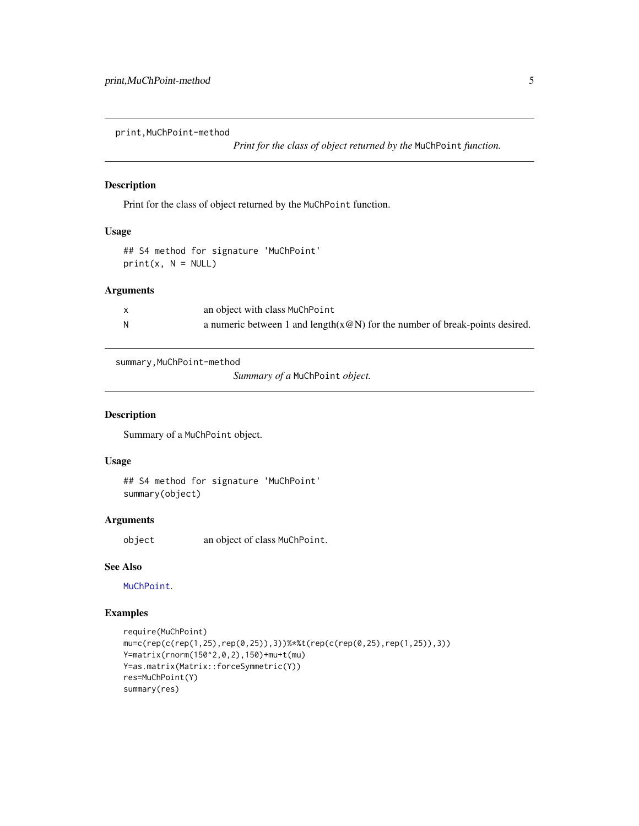<span id="page-4-0"></span>print,MuChPoint-method

*Print for the class of object returned by the* MuChPoint *function.*

#### Description

Print for the class of object returned by the MuChPoint function.

#### Usage

## S4 method for signature 'MuChPoint'  $print(x, N = NULL)$ 

#### Arguments

|   | an object with class MuChPoint                                                 |
|---|--------------------------------------------------------------------------------|
| N | a numeric between 1 and length $(x@N)$ for the number of break-points desired. |

summary,MuChPoint-method

*Summary of a* MuChPoint *object.*

#### Description

Summary of a MuChPoint object.

#### Usage

## S4 method for signature 'MuChPoint' summary(object)

#### Arguments

object an object of class MuChPoint.

#### See Also

[MuChPoint](#page-2-1).

#### Examples

```
require(MuChPoint)
mu=c(rep(c(rep(1,25),rep(0,25)),3))%*%t(rep(c(rep(0,25),rep(1,25)),3))
Y=matrix(rnorm(150^2,0,2),150)+mu+t(mu)
Y=as.matrix(Matrix::forceSymmetric(Y))
res=MuChPoint(Y)
summary(res)
```